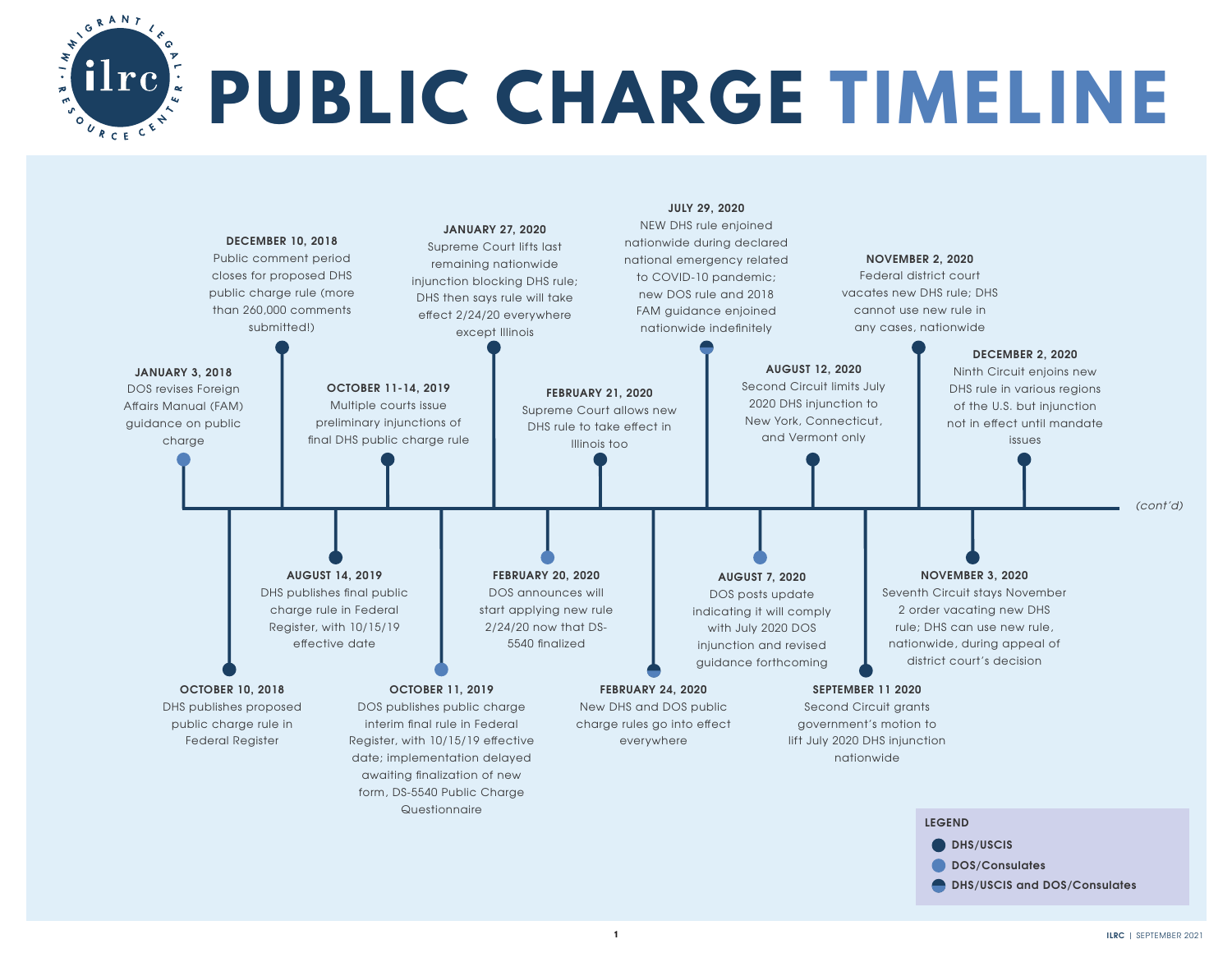

## **PUBLIC CHARGE TIMELINE**

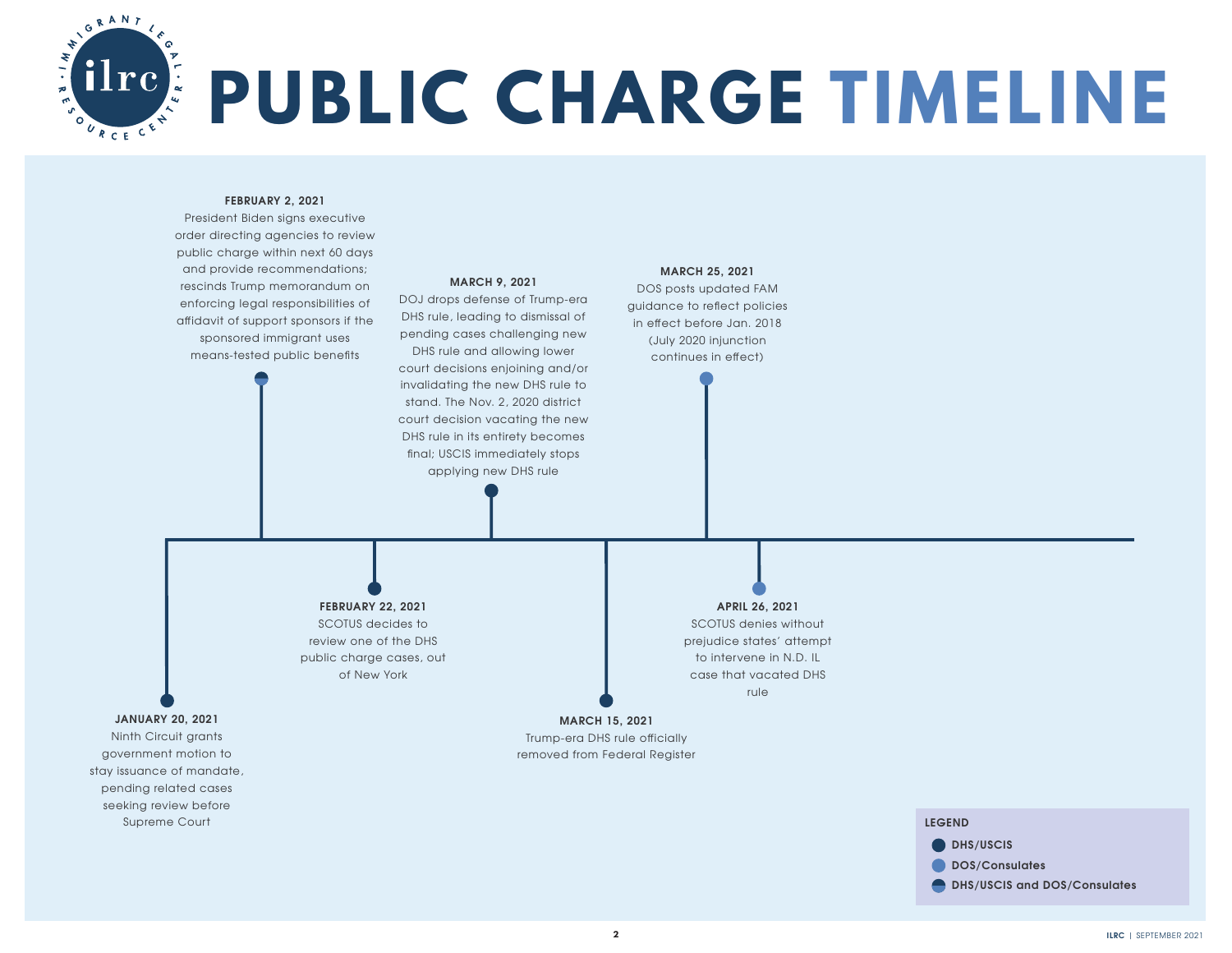

## **PUBLIC CHARGE TIMELINE**